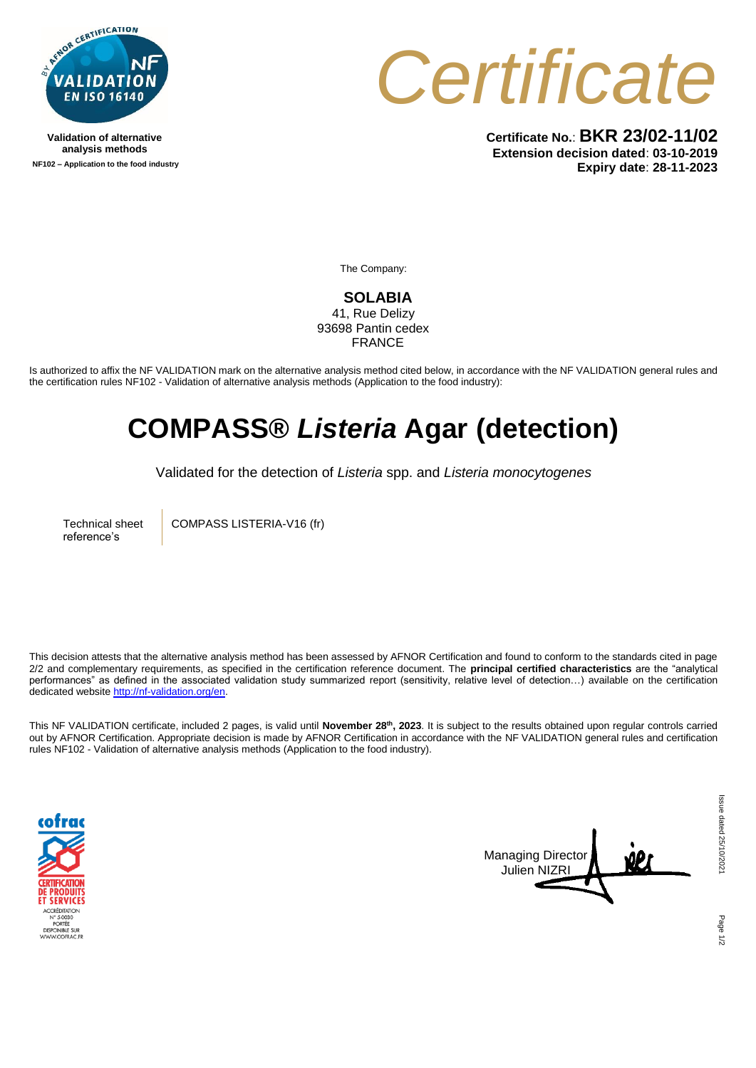

**Validation of alternative analysis methods NF102 – Application to the food industry** *Certificate*

**Certificate No.**: **BKR 23/02-11/02 Extension decision dated**: **03-10-2019 Expiry date**: **28-11-2023**

The Company:

**SOLABIA** 41, Rue Delizy 93698 Pantin cedex FRANCE

Is authorized to affix the NF VALIDATION mark on the alternative analysis method cited below, in accordance with the NF VALIDATION general rules and the certification rules NF102 - Validation of alternative analysis methods (Application to the food industry):

## **COMPASS®** *Listeria* **Agar (detection)**

Validated for the detection of *Listeria* spp. and *Listeria monocytogenes*

Technical sheet reference's

COMPASS LISTERIA-V16 (fr)

This decision attests that the alternative analysis method has been assessed by AFNOR Certification and found to conform to the standards cited in page 2/2 and complementary requirements, as specified in the certification reference document. The **principal certified characteristics** are the "analytical performances" as defined in the associated validation study summarized report (sensitivity, relative level of detection…) available on the certification dedicated websit[e http://nf-validation.org/en.](http://nf-validation.org/en)

This NF VALIDATION certificate, included 2 pages, is valid until **November 28th, 2023**. It is subject to the results obtained upon regular controls carried out by AFNOR Certification. Appropriate decision is made by AFNOR Certification in accordance with the NF VALIDATION general rules and certification rules NF102 - Validation of alternative analysis methods (Application to the food industry).





Page